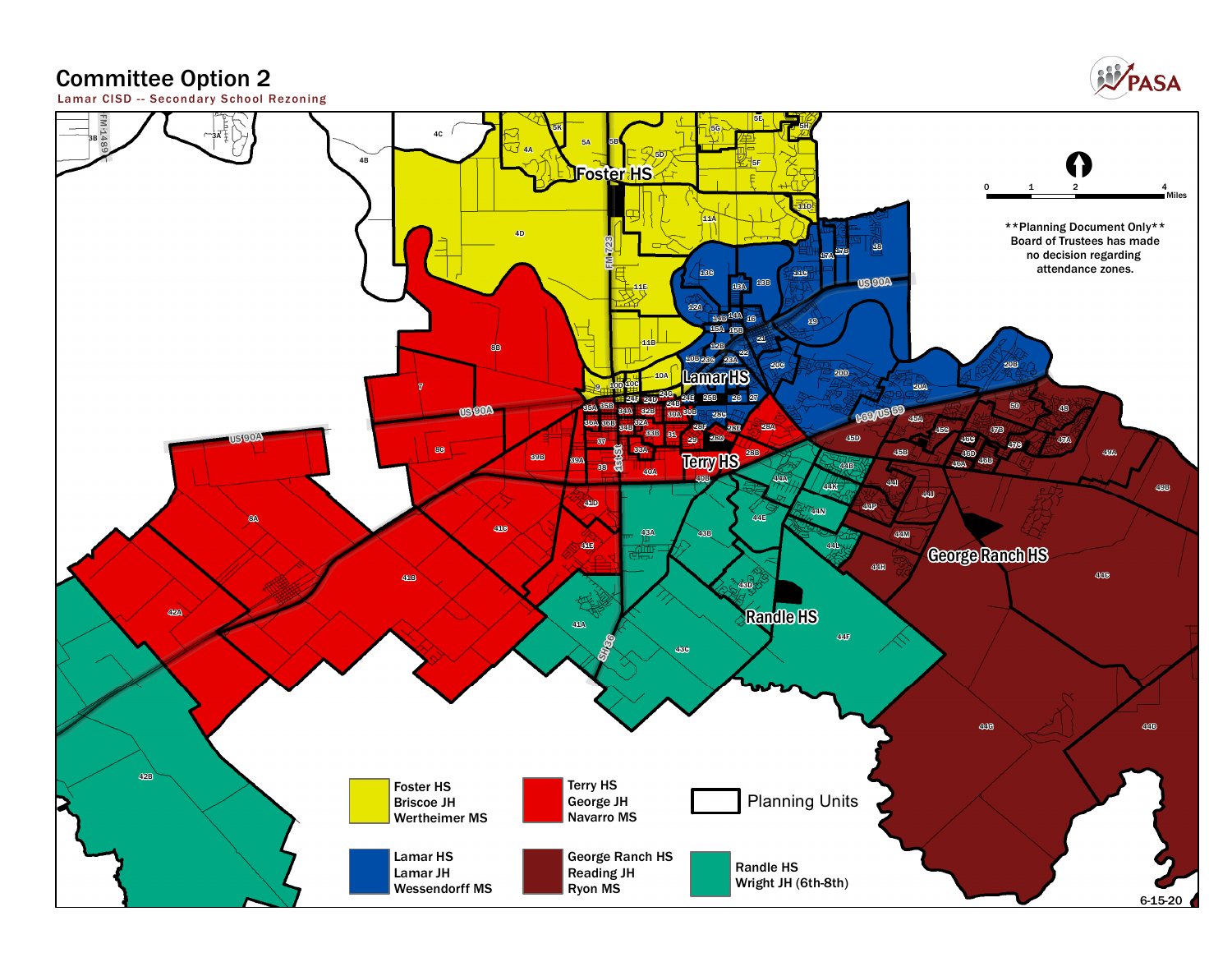## **Committee Option 2**



**Lamar CISD - - Secondar y School Rezoning**

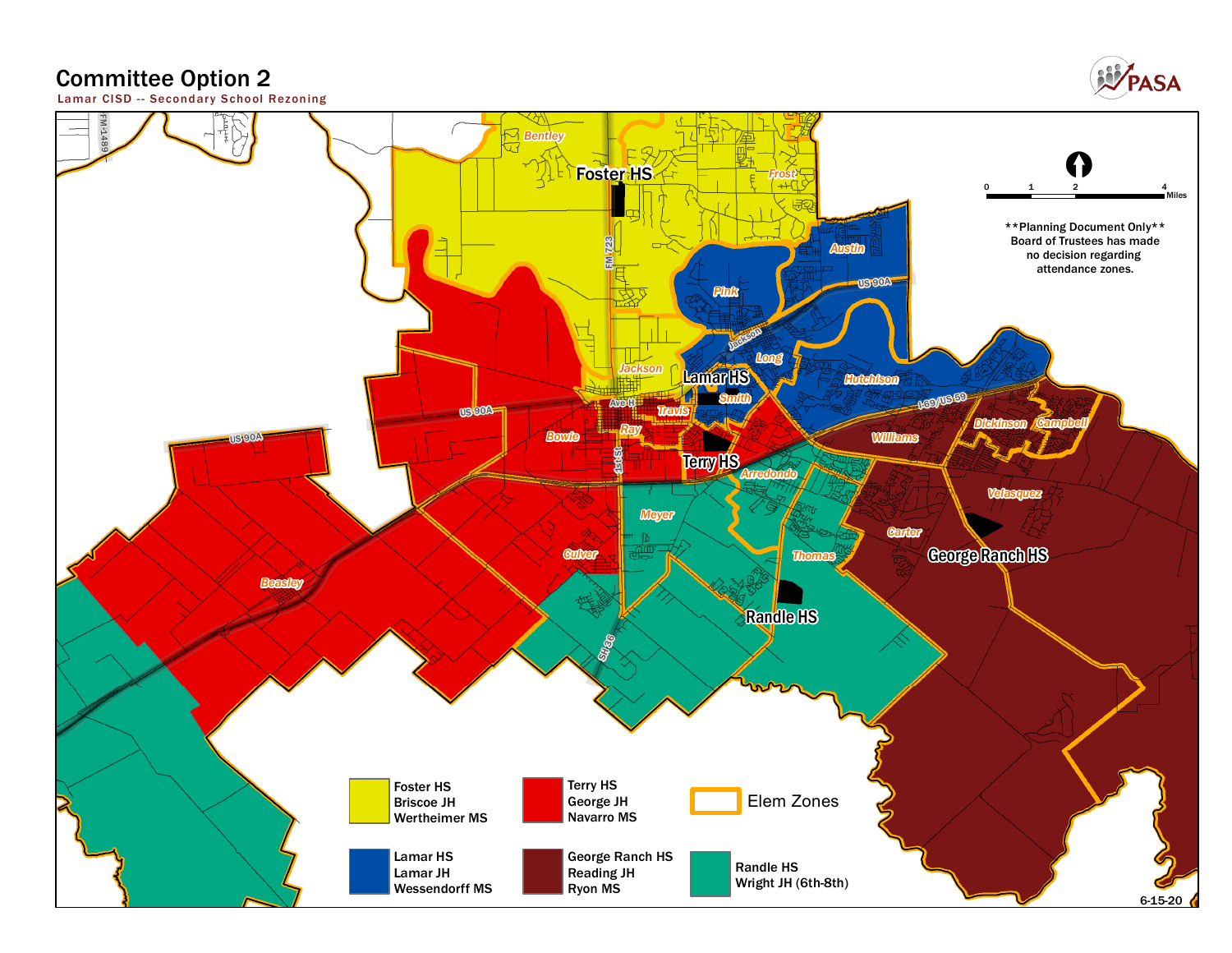## **Committee Option 2**



**Lamar CISD - - Secondar y School Rezoning**